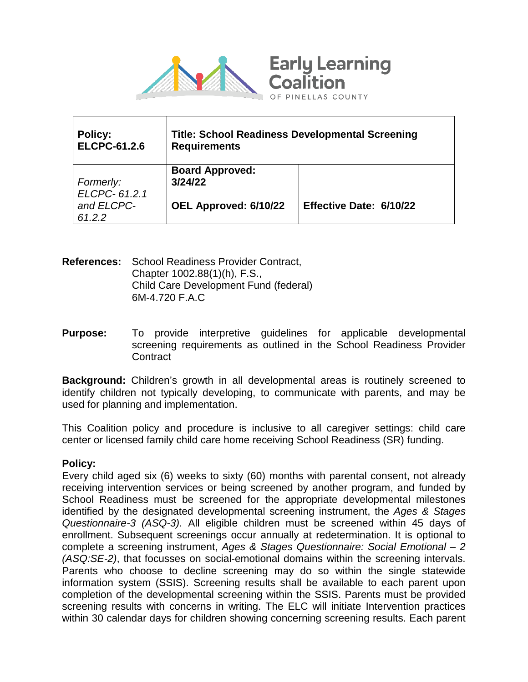

| <b>Policy:</b><br><b>ELCPC-61.2.6</b> | <b>Title: School Readiness Developmental Screening</b><br><b>Requirements</b> |                         |
|---------------------------------------|-------------------------------------------------------------------------------|-------------------------|
| Formerly:                             | <b>Board Approved:</b><br>3/24/22                                             |                         |
| ELCPC-61.2.1                          |                                                                               |                         |
| and ELCPC-<br>61.2.2                  | OEL Approved: 6/10/22                                                         | Effective Date: 6/10/22 |

**References:** School Readiness Provider Contract, Chapter 1002.88(1)(h), F.S., Child Care Development Fund (federal) 6M-4.720 F.A.C

**Purpose:** To provide interpretive quidelines for applicable developmental screening requirements as outlined in the School Readiness Provider **Contract** 

**Background:** Children's growth in all developmental areas is routinely screened to identify children not typically developing, to communicate with parents, and may be used for planning and implementation.

This Coalition policy and procedure is inclusive to all caregiver settings: child care center or licensed family child care home receiving School Readiness (SR) funding.

#### **Policy:**

Every child aged six (6) weeks to sixty (60) months with parental consent, not already receiving intervention services or being screened by another program, and funded by School Readiness must be screened for the appropriate developmental milestones identified by the designated developmental screening instrument, the *Ages & Stages Questionnaire-3 (ASQ-3).* All eligible children must be screened within 45 days of enrollment. Subsequent screenings occur annually at redetermination. It is optional to complete a screening instrument, *Ages & Stages Questionnaire: Social Emotional – 2 (ASQ:SE-2)*, that focusses on social-emotional domains within the screening intervals. Parents who choose to decline screening may do so within the single statewide information system (SSIS). Screening results shall be available to each parent upon completion of the developmental screening within the SSIS. Parents must be provided screening results with concerns in writing. The ELC will initiate Intervention practices within 30 calendar days for children showing concerning screening results. Each parent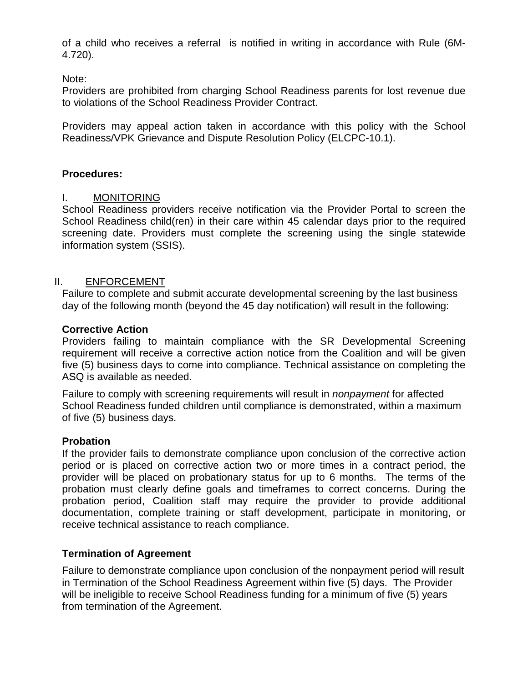of a child who receives a referral is notified in writing in accordance with Rule (6M-4.720).

Note:

Providers are prohibited from charging School Readiness parents for lost revenue due to violations of the School Readiness Provider Contract.

Providers may appeal action taken in accordance with this policy with the [School](http://elcpinellas.net/downloads/policies/2008-07-21%20ELCPC-2008-08%20Grievance%20and%20dispute%20resolution.pdf)  [Readiness/VPK Grievance and Dispute Resolution Policy \(ELCPC-10.1\).](http://elcpinellas.net/downloads/policies/2008-07-21%20ELCPC-2008-08%20Grievance%20and%20dispute%20resolution.pdf)

## **Procedures:**

## I. MONITORING

School Readiness providers receive notification via the Provider Portal to screen the School Readiness child(ren) in their care within 45 calendar days prior to the required screening date. Providers must complete the screening using the single statewide information system (SSIS).

### II. ENFORCEMENT

Failure to complete and submit accurate developmental screening by the last business day of the following month (beyond the 45 day notification) will result in the following:

### **Corrective Action**

Providers failing to maintain compliance with the SR Developmental Screening requirement will receive a corrective action notice from the Coalition and will be given five (5) business days to come into compliance. Technical assistance on completing the ASQ is available as needed.

Failure to comply with screening requirements will result in *nonpayment* for affected School Readiness funded children until compliance is demonstrated, within a maximum of five (5) business days.

### **Probation**

If the provider fails to demonstrate compliance upon conclusion of the corrective action period or is placed on corrective action two or more times in a contract period, the provider will be placed on probationary status for up to 6 months. The terms of the probation must clearly define goals and timeframes to correct concerns. During the probation period, Coalition staff may require the provider to provide additional documentation, complete training or staff development, participate in monitoring, or receive technical assistance to reach compliance.

# **Termination of Agreement**

Failure to demonstrate compliance upon conclusion of the nonpayment period will result in Termination of the School Readiness Agreement within five (5) days. The Provider will be ineligible to receive School Readiness funding for a minimum of five (5) years from termination of the Agreement.